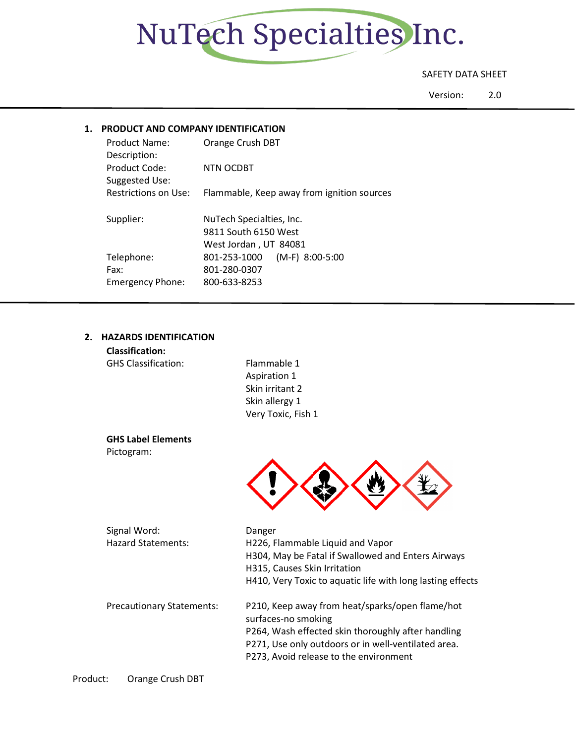

# SAFETY DATA SHEET

Version: 2.0

# **1. PRODUCT AND COMPANY IDENTIFICATION**

| Product Name:<br>Description:   | Orange Crush DBT                                                          |
|---------------------------------|---------------------------------------------------------------------------|
| Product Code:<br>Suggested Use: | NTN OCDBT                                                                 |
| <b>Restrictions on Use:</b>     | Flammable, Keep away from ignition sources                                |
| Supplier:                       | NuTech Specialties, Inc.<br>9811 South 6150 West<br>West Jordan, UT 84081 |
| Telephone:<br>Fax:              | 801-253-1000<br>$(M-F)$ 8:00-5:00<br>801-280-0307                         |
| <b>Emergency Phone:</b>         | 800-633-8253                                                              |

# **2. HAZARDS IDENTIFICATION**

| <b>Classification:</b>           |                                                            |
|----------------------------------|------------------------------------------------------------|
| <b>GHS Classification:</b>       | Flammable 1                                                |
|                                  | Aspiration 1                                               |
|                                  | Skin irritant 2                                            |
|                                  | Skin allergy 1                                             |
|                                  | Very Toxic, Fish 1                                         |
| <b>GHS Label Elements</b>        |                                                            |
| Pictogram:                       |                                                            |
|                                  |                                                            |
|                                  |                                                            |
|                                  |                                                            |
|                                  |                                                            |
| Signal Word:                     | Danger                                                     |
| <b>Hazard Statements:</b>        | H226, Flammable Liquid and Vapor                           |
|                                  | H304, May be Fatal if Swallowed and Enters Airways         |
|                                  | H315, Causes Skin Irritation                               |
|                                  | H410, Very Toxic to aquatic life with long lasting effects |
| <b>Precautionary Statements:</b> | P210, Keep away from heat/sparks/open flame/hot            |
|                                  | surfaces-no smoking                                        |

surfaces-no smoking P264, Wash effected skin thoroughly after handling P271, Use only outdoors or in well-ventilated area. P273, Avoid release to the environment

Product: Orange Crush DBT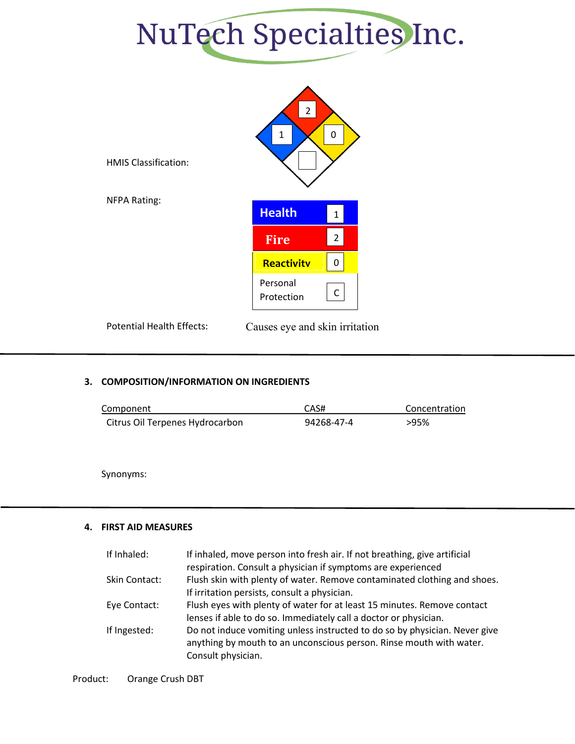



Potential Health Effects: Causes eye and skin irritation

## **3. COMPOSITION/INFORMATION ON INGREDIENTS**

| Component                       | CAS#       | Concentration |
|---------------------------------|------------|---------------|
| Citrus Oil Terpenes Hydrocarbon | 94268-47-4 | >95%          |

Synonyms:

## **4. FIRST AID MEASURES**

| If Inhaled:   | If inhaled, move person into fresh air. If not breathing, give artificial  |
|---------------|----------------------------------------------------------------------------|
|               | respiration. Consult a physician if symptoms are experienced               |
| Skin Contact: | Flush skin with plenty of water. Remove contaminated clothing and shoes.   |
|               | If irritation persists, consult a physician.                               |
| Eye Contact:  | Flush eyes with plenty of water for at least 15 minutes. Remove contact    |
|               | lenses if able to do so. Immediately call a doctor or physician.           |
| If Ingested:  | Do not induce vomiting unless instructed to do so by physician. Never give |
|               | anything by mouth to an unconscious person. Rinse mouth with water.        |
|               | Consult physician.                                                         |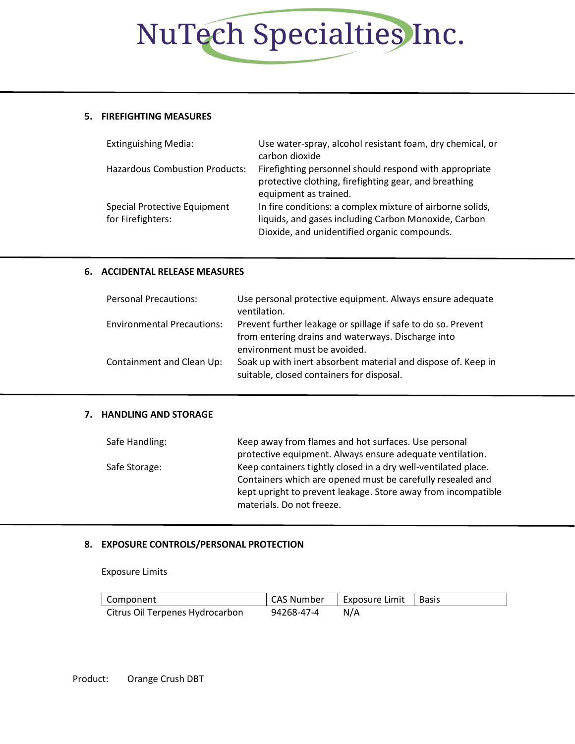# NuTech Specialties Inc.

## **5. FIREFIGHTING MEASURES**

| <b>Extinguishing Media:</b>                       | Use water-spray, alcohol resistant foam, dry chemical, or<br>carbon dioxide                                                                                       |
|---------------------------------------------------|-------------------------------------------------------------------------------------------------------------------------------------------------------------------|
| <b>Hazardous Combustion Products:</b>             | Firefighting personnel should respond with appropriate<br>protective clothing, firefighting gear, and breathing<br>equipment as trained.                          |
| Special Protective Equipment<br>for Firefighters: | In fire conditions: a complex mixture of airborne solids,<br>liquids, and gases including Carbon Monoxide, Carbon<br>Dioxide, and unidentified organic compounds. |

# **6. ACCIDENTAL RELEASE MEASURES**

| <b>Personal Precautions:</b>      | Use personal protective equipment. Always ensure adequate<br>ventilation.                                           |
|-----------------------------------|---------------------------------------------------------------------------------------------------------------------|
| <b>Environmental Precautions:</b> | Prevent further leakage or spillage if safe to do so. Prevent<br>from entering drains and waterways. Discharge into |
|                                   | environment must be avoided.                                                                                        |
| Containment and Clean Up:         | Soak up with inert absorbent material and dispose of. Keep in                                                       |
|                                   | suitable, closed containers for disposal.                                                                           |

#### **7. HANDLING AND STORAGE**

| Safe Handling: | Keep away from flames and hot surfaces. Use personal           |
|----------------|----------------------------------------------------------------|
|                | protective equipment. Always ensure adequate ventilation.      |
| Safe Storage:  | Keep containers tightly closed in a dry well-ventilated place. |
|                | Containers which are opened must be carefully resealed and     |
|                | kept upright to prevent leakage. Store away from incompatible  |
|                | materials. Do not freeze.                                      |

## **8. EXPOSURE CONTROLS/PERSONAL PROTECTION**

Exposure Limits

| Component                       | CAS Number | Exposure Limit   Basis |  |
|---------------------------------|------------|------------------------|--|
| Citrus Oil Terpenes Hydrocarbon | 94268-47-4 | N/A                    |  |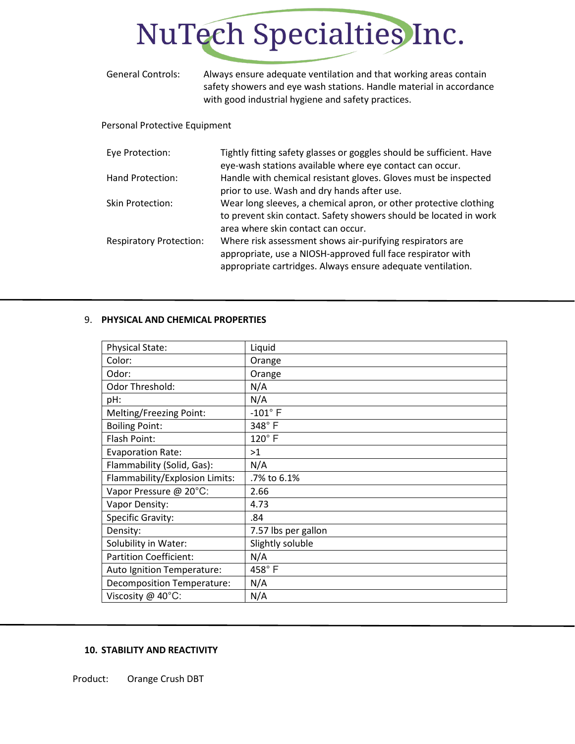# NuTech Specialties Inc.

| <b>General Controls:</b>       | Always ensure adequate ventilation and that working areas contain<br>safety showers and eye wash stations. Handle material in accordance<br>with good industrial hygiene and safety practices. |
|--------------------------------|------------------------------------------------------------------------------------------------------------------------------------------------------------------------------------------------|
| Personal Protective Equipment  |                                                                                                                                                                                                |
| Eye Protection:                | Tightly fitting safety glasses or goggles should be sufficient. Have<br>eye-wash stations available where eye contact can occur.                                                               |
| Hand Protection:               | Handle with chemical resistant gloves. Gloves must be inspected<br>prior to use. Wash and dry hands after use.                                                                                 |
| <b>Skin Protection:</b>        | Wear long sleeves, a chemical apron, or other protective clothing<br>to prevent skin contact. Safety showers should be located in work<br>area where skin contact can occur.                   |
| <b>Respiratory Protection:</b> | Where risk assessment shows air-purifying respirators are<br>appropriate, use a NIOSH-approved full face respirator with                                                                       |

appropriate cartridges. Always ensure adequate ventilation.

# 9. **PHYSICAL AND CHEMICAL PROPERTIES**

| <b>Physical State:</b>            | Liquid              |
|-----------------------------------|---------------------|
| Color:                            | Orange              |
| Odor:                             | Orange              |
| Odor Threshold:                   | N/A                 |
| pH:                               | N/A                 |
| Melting/Freezing Point:           | $-101^{\circ}$ F    |
| <b>Boiling Point:</b>             | 348°F               |
| Flash Point:                      | $120^\circ$ F       |
| <b>Evaporation Rate:</b>          | >1                  |
| Flammability (Solid, Gas):        | N/A                 |
| Flammability/Explosion Limits:    | .7% to 6.1%         |
| Vapor Pressure @ 20°C:            | 2.66                |
| Vapor Density:                    | 4.73                |
| Specific Gravity:                 | .84                 |
| Density:                          | 7.57 lbs per gallon |
| Solubility in Water:              | Slightly soluble    |
| <b>Partition Coefficient:</b>     | N/A                 |
| Auto Ignition Temperature:        | 458°F               |
| <b>Decomposition Temperature:</b> | N/A                 |
| Viscosity @ 40°C:                 | N/A                 |

## **10. STABILITY AND REACTIVITY**

Product: Orange Crush DBT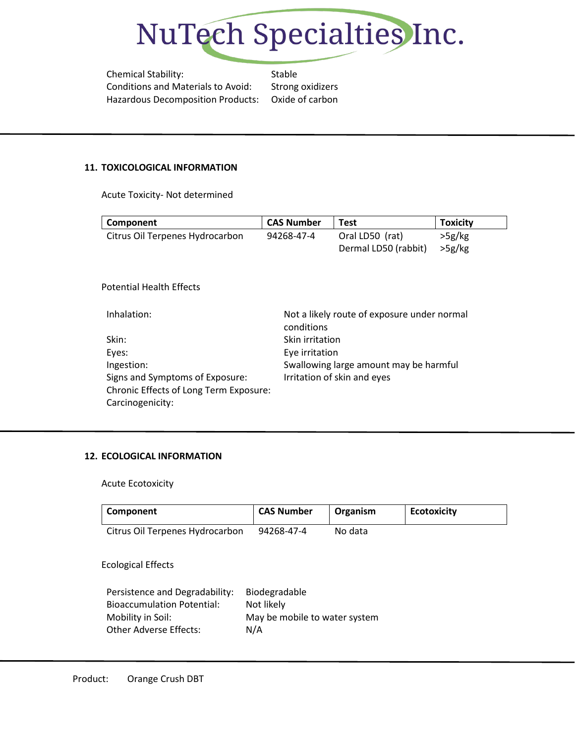

Chemical Stability: Stable Conditions and Materials to Avoid: Strong oxidizers Hazardous Decomposition Products: Oxide of carbon

#### **11. TOXICOLOGICAL INFORMATION**

Acute Toxicity- Not determined

| Component                              | <b>CAS Number</b> | <b>Test</b>                                 | <b>Toxicity</b> |
|----------------------------------------|-------------------|---------------------------------------------|-----------------|
| Citrus Oil Terpenes Hydrocarbon        | 94268-47-4        | Oral LD50 (rat)                             | >5g/kg          |
|                                        |                   | Dermal LD50 (rabbit)                        | >5g/kg          |
|                                        |                   |                                             |                 |
|                                        |                   |                                             |                 |
| <b>Potential Health Effects</b>        |                   |                                             |                 |
|                                        |                   |                                             |                 |
| Inhalation:                            |                   | Not a likely route of exposure under normal |                 |
|                                        | conditions        |                                             |                 |
| Skin:                                  | Skin irritation   |                                             |                 |
| Eyes:                                  | Eye irritation    |                                             |                 |
| Ingestion:                             |                   | Swallowing large amount may be harmful      |                 |
| Signs and Symptoms of Exposure:        |                   | Irritation of skin and eyes                 |                 |
| Chronic Effects of Long Term Exposure: |                   |                                             |                 |
| Carcinogenicity:                       |                   |                                             |                 |

## **12. ECOLOGICAL INFORMATION**

Acute Ecotoxicity

| Component                                                           | <b>CAS Number</b>                    | Organism | <b>Ecotoxicity</b> |
|---------------------------------------------------------------------|--------------------------------------|----------|--------------------|
| Citrus Oil Terpenes Hydrocarbon                                     | 94268-47-4                           | No data  |                    |
| <b>Ecological Effects</b>                                           |                                      |          |                    |
| Persistence and Degradability:<br><b>Bioaccumulation Potential:</b> | Biodegradable<br>Not likely          |          |                    |
| Mobility in Soil:<br><b>Other Adverse Effects:</b>                  | May be mobile to water system<br>N/A |          |                    |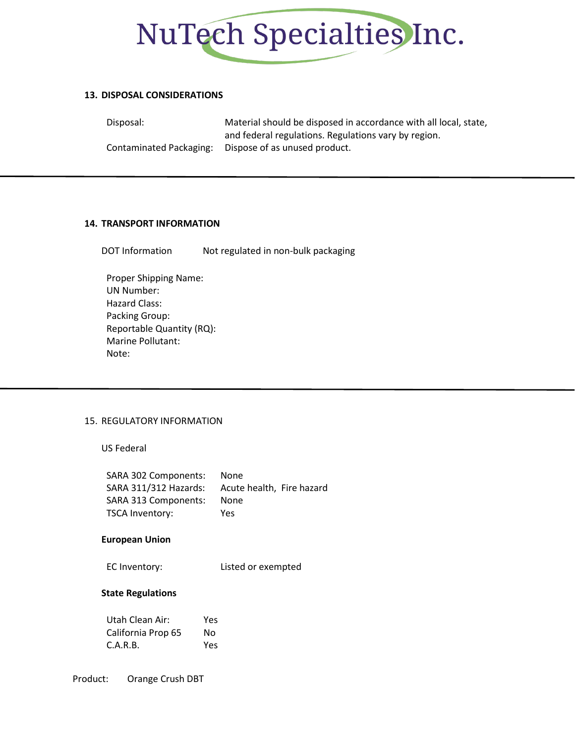

#### **13. DISPOSAL CONSIDERATIONS**

Disposal: Material should be disposed in accordance with all local, state, and federal regulations. Regulations vary by region. Contaminated Packaging: Dispose of as unused product.

#### **14. TRANSPORT INFORMATION**

DOT Information Not regulated in non-bulk packaging

Proper Shipping Name: UN Number: Hazard Class: Packing Group: Reportable Quantity (RQ): Marine Pollutant: Note:

## 15. REGULATORY INFORMATION

US Federal

| SARA 302 Components:  | <b>None</b>               |
|-----------------------|---------------------------|
| SARA 311/312 Hazards: | Acute health, Fire hazard |
| SARA 313 Components:  | None                      |
| TSCA Inventory:       | Yes                       |

#### **European Union**

EC Inventory: Listed or exempted

#### **State Regulations**

| Utah Clean Air:    | Yes |
|--------------------|-----|
| California Prop 65 | No  |
| C.A.R.B.           | Yes |

Product: Orange Crush DBT